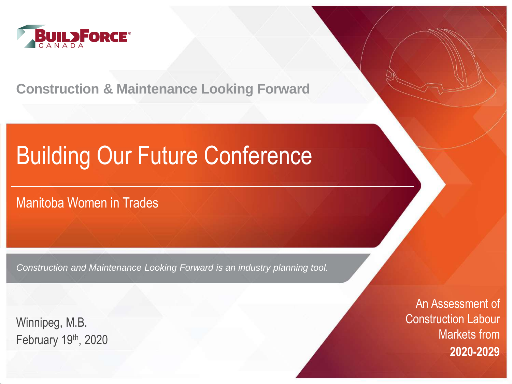

#### **Construction & Maintenance Looking Forward**

# Building Our Future Conference

Manitoba Women in Trades

*Construction and Maintenance Looking Forward is an industry planning tool.*

Winnipeg, M.B. February 19th, 2020

An Assessment of Construction Labour Markets from **2020-2029**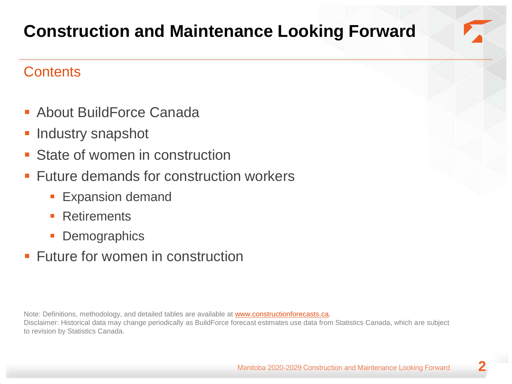# **Construction and Maintenance Looking Forward**

#### **Contents**

- About BuildForce Canada
- **E** Industry snapshot
- State of women in construction
- Future demands for construction workers
	- **Expansion demand**
	- Retirements
	- Demographics
- **E** Future for women in construction

Note: Definitions, methodology, and detailed tables are available at [www.constructionforecasts.ca](http://www.constructionforecasts.ca/).

Disclaimer: Historical data may change periodically as BuildForce forecast estimates use data from Statistics Canada, which are subject to revision by Statistics Canada.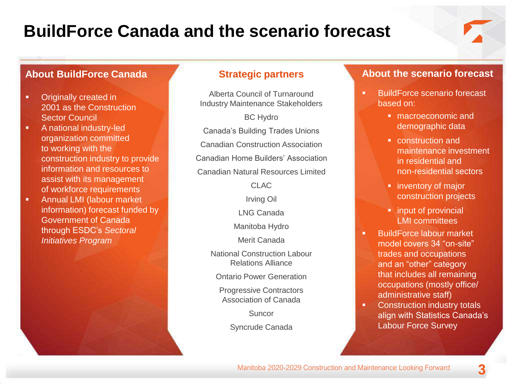## **BuildForce Canada and the scenario forecast**

#### **About BuildForce Canada**

- **•** Originally created in 2001 as the Construction Sector Council
- **E** A national industry-led organization committed to working with the construction industry to provide information and resources to assist with its management of workforce requirements
- **EXEC** Annual LMI (labour market information) forecast funded by Government of Canada through ESDC's *Sectoral Initiatives Program*

#### **Strategic partners**

Alberta Council of Turnaround Industry Maintenance Stakeholders

BC Hydro Canada's Building Trades Unions Canadian Construction Association Canadian Home Builders' Association Canadian Natural Resources Limited

CLAC

Irving Oil

LNG Canada

Manitoba Hydro

Merit Canada

National Construction Labour Relations Alliance

Ontario Power Generation

Progressive Contractors Association of Canada

**Suncor** 

Syncrude Canada

#### **About the scenario forecast**

- **BuildForce scenario forecast** based on:
	- macroeconomic and demographic data
	- construction and maintenance investment in residential and non-residential sectors
	- inventory of major construction projects
	- input of provincial LMI committees
- BuildForce labour market model covers 34 "on-site" trades and occupations and an "other" category that includes all remaining occupations (mostly office/ administrative staff)
- Construction industry totals align with Statistics Canada's Labour Force Survey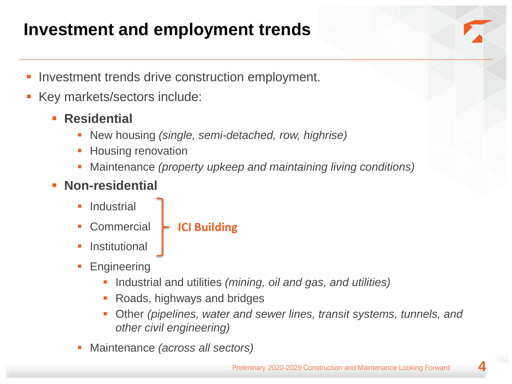## **Investment and employment trends**

- Investment trends drive construction employment.
- Key markets/sectors include:
	- **Residential**
		- New housing *(single, semi-detached, row, highrise)*
		- **Housing renovation**
		- Maintenance *(property upkeep and maintaining living conditions)*
	- **Non-residential**
		- **Industrial**
		- **Commercial ICI Building**
		- **Institutional**
		- **Engineering** 
			- Industrial and utilities *(mining, oil and gas, and utilities)*
			- Roads, highways and bridges
			- Other *(pipelines, water and sewer lines, transit systems, tunnels, and other civil engineering)*
		- Maintenance *(across all sectors)*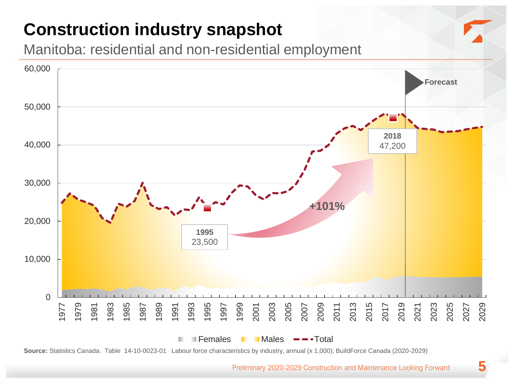# **Construction industry snapshot**

Manitoba: residential and non-residential employment



**Source:** Statistics Canada. Table 14-10-0023-01 Labour force characteristics by industry, annual (x 1,000); BuildForce Canada (2020-2029)

Preliminary 2020-2029 Construction and Maintenance Looking Forward **5**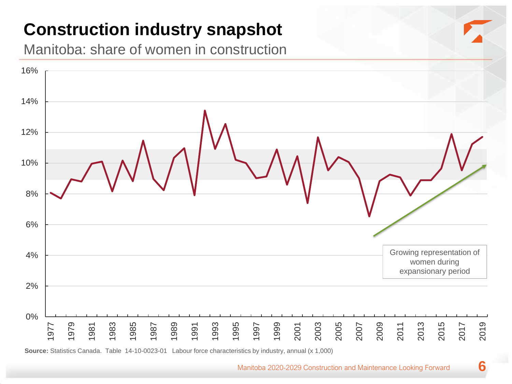# **Construction industry snapshot**

Manitoba: share of women in construction



**Source:** Statistics Canada. Table 14-10-0023-01 Labour force characteristics by industry, annual (x 1,000)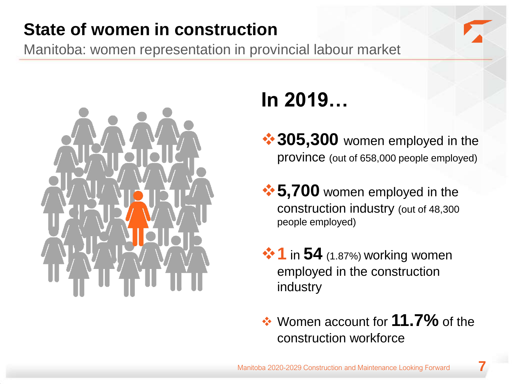Manitoba: women representation in provincial labour market



# **In 2019…**

- **<sup>❖</sup> 305,300** women employed in the province (out of 658,000 people employed)
- ❖**5,700** women employed in the construction industry (out of 48,300 people employed)
- **<sup>❖</sup> 1** in **54** (1.87%) working women employed in the construction industry
- ❖ Women account for **11.7%** of the construction workforce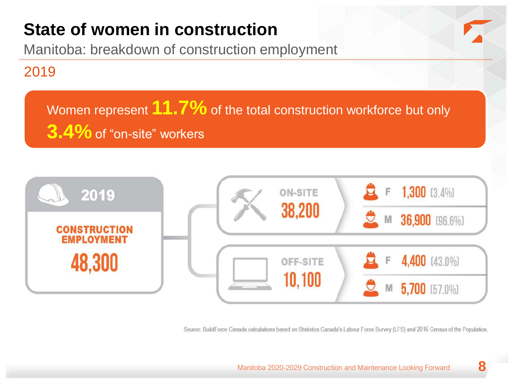Manitoba: breakdown of construction employment

### 2019

Women represent **11.7%** of the total construction workforce but only **3.4%** of "on-site" workers



Source: BuildForce Canada calculations based on Statistics Canada's Labour Force Survey (LFS) and 2016 Census of the Population.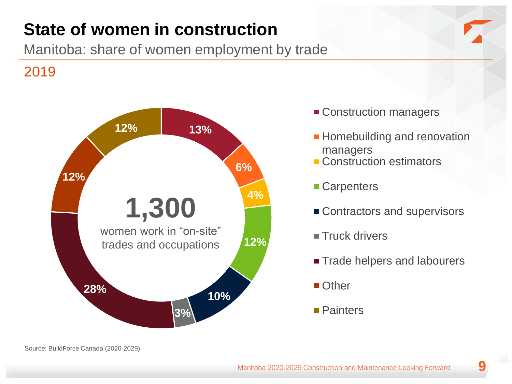Manitoba: share of women employment by trade



- **Construction managers**
- **Homebuilding and renovation** managers
- **Construction estimators**
- Carpenters
- **Contractors and supervisors**
- **Truck drivers**
- **Trade helpers and labourers**
- Other
- **Painters**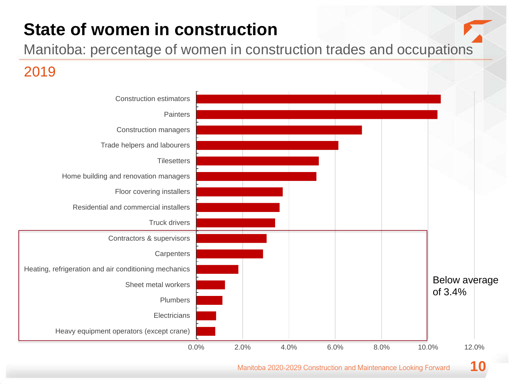Manitoba: percentage of women in construction trades and occupations

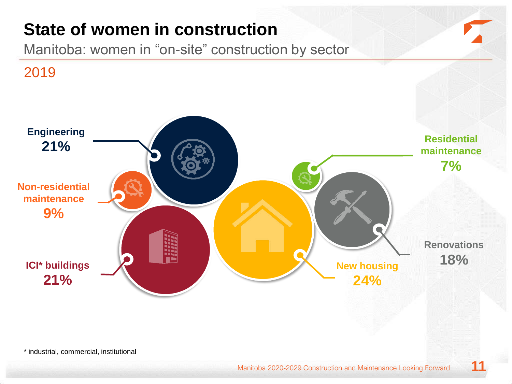Manitoba: women in "on-site" construction by sector

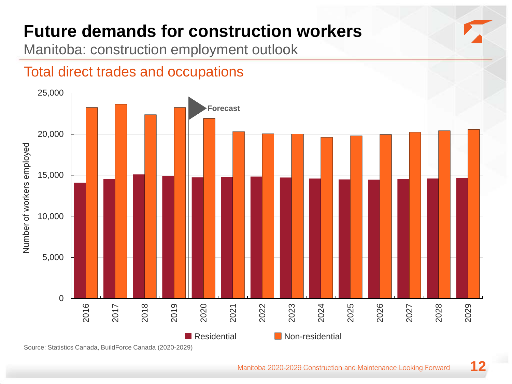Manitoba: construction employment outlook



**Residential Mon-residential** 

### Total direct trades and occupations

Source: Statistics Canada, BuildForce Canada (2020-2029)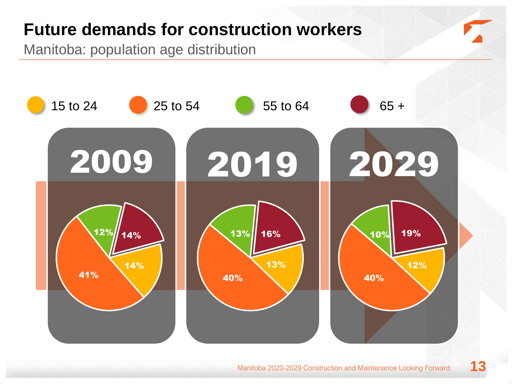Manitoba: population age distribution

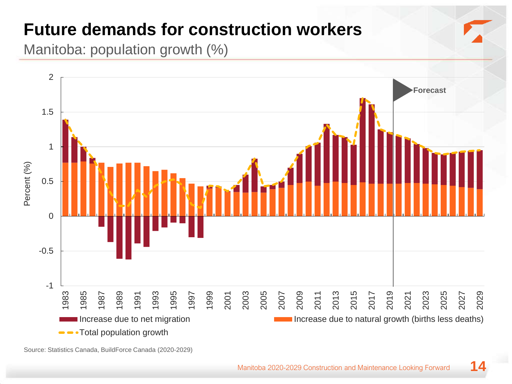Manitoba: population growth (%)



Source: Statistics Canada, BuildForce Canada (2020-2029)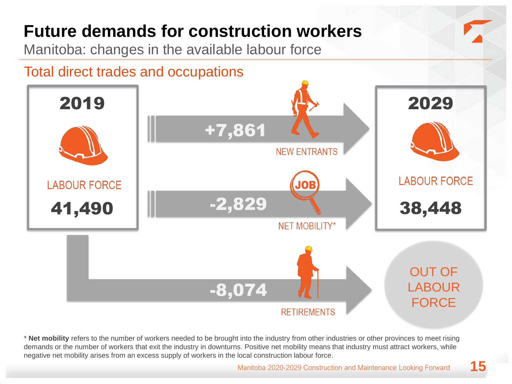Manitoba: changes in the available labour force

Total direct trades and occupations



\* **Net mobility** refers to the number of workers needed to be brought into the industry from other industries or other provinces to meet rising demands or the number of workers that exit the industry in downturns. Positive net mobility means that industry must attract workers, while negative net mobility arises from an excess supply of workers in the local construction labour force.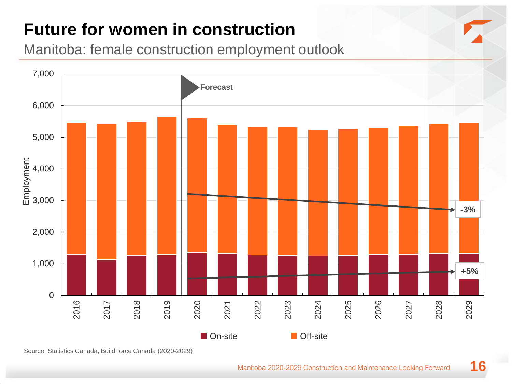# **Future for women in construction**

Manitoba: female construction employment outlook



Source: Statistics Canada, BuildForce Canada (2020-2029)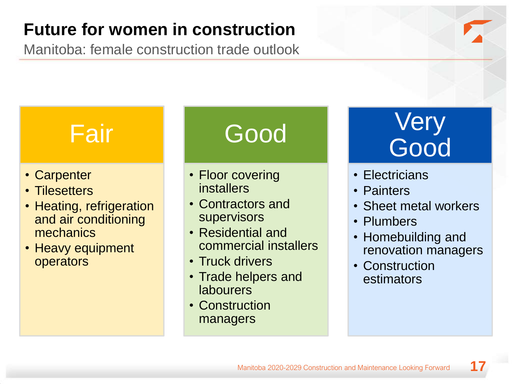# **Future for women in construction**

Manitoba: female construction trade outlook

# Fair

- Carpenter
- Tilesetters
- Heating, refrigeration and air conditioning mechanics
- Heavy equipment operators

# Good

- Floor covering installers
- Contractors and supervisors
- Residential and commercial installers
- Truck drivers
- Trade helpers and labourers
- Construction managers

# **Very** Good

- Electricians
- Painters
- Sheet metal workers
- Plumbers
- Homebuilding and renovation managers
- Construction estimators